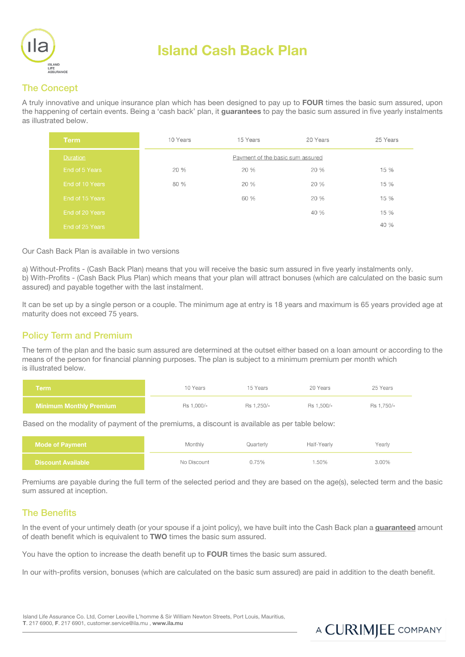

# Island Cash Back Plan

### The Concept

A truly innovative and unique insurance plan which has been designed to pay up to **FOUR** times the basic sum assured, upon the happening of certain events. Being a 'cash back' plan, it quarantees to pay the basic sum assured in five yearly instalments as illustrated below.

| <b>Term</b>     | 10 Years                         | 15 Years | 20 Years | 25 Years |
|-----------------|----------------------------------|----------|----------|----------|
| <b>Duration</b> | Payment of the basic sum assured |          |          |          |
| End of 5 Years  | 20%                              | 20 %     | 20%      | 15 %     |
| End of 10 Years | 80 %                             | 20%      | 20%      | 15 %     |
| End of 15 Years |                                  | 60 %     | 20 %     | 15 %     |
| End of 20 Years |                                  |          | 40 %     | 15 %     |
| End of 25 Years |                                  |          |          | 40 %     |
|                 |                                  |          |          |          |

#### Our Cash Back Plan is available in two versions

a) Without-Profits - (Cash Back Plan) means that you will receive the basic sum assured in five yearly instalments only. b) With-Profits - (Cash Back Plus Plan) which means that your plan will attract bonuses (which are calculated on the basic sum assured) and payable together with the last instalment.

It can be set up by a single person or a couple. The minimum age at entry is 18 years and maximum is 65 years provided age at maturity does not exceed 75 years.

#### Policy Term and Premium

The term of the plan and the basic sum assured are determined at the outset either based on a loan amount or according to the means of the person for financial planning purposes. The plan is subject to a minimum premium per month which is illustrated below.

| Term                           | 10 Years   | 15 Years   | 20 Years   | 25 Years   |
|--------------------------------|------------|------------|------------|------------|
| <b>Minimum Monthly Premium</b> | Rs 1.000/- | Rs 1.250/- | Rs 1.500/- | Rs 1.750/- |

Based on the modality of payment of the premiums, a discount is available as per table below:

| <b>Mode of Payment</b>    | Monthly     | Quarterly | Half-Yearly | Yearly |
|---------------------------|-------------|-----------|-------------|--------|
| <b>Discount Available</b> | No Discount | 0.75%     | 1.50%       | 3.00%  |

Premiums are payable during the full term of the selected period and they are based on the age(s), selected term and the basic sum assured at inception.

#### The Benefits

In the event of your untimely death (or your spouse if a joint policy), we have built into the Cash Back plan a guaranteed amount of death benefit which is equivalent to TWO times the basic sum assured.

You have the option to increase the death benefit up to **FOUR** times the basic sum assured.

In our with-profits version, bonuses (which are calculated on the basic sum assured) are paid in addition to the death benefit.

## A CURRIMJEE COMPANY